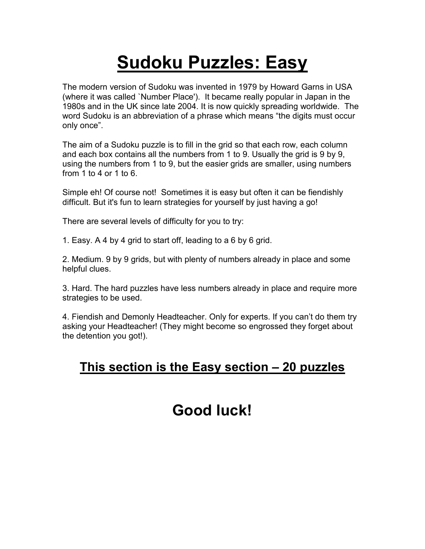# **Sudoku Puzzles: Easy**

The modern version of Sudoku was invented in 1979 by Howard Garns in USA (where it was called `Number Place'). It became really popular in Japan in the 1980s and in the UK since late 2004. It is now quickly spreading worldwide. The word Sudoku is an abbreviation of a phrase which means "the digits must occur only once".

The aim of a Sudoku puzzle is to fill in the grid so that each row, each column and each box contains all the numbers from 1 to 9. Usually the grid is 9 by 9, using the numbers from 1 to 9, but the easier grids are smaller, using numbers from 1 to 4 or 1 to 6.

Simple eh! Of course not! Sometimes it is easy but often it can be fiendishly difficult. But it's fun to learn strategies for yourself by just having a go!

There are several levels of difficulty for you to try:

1. Easy. A 4 by 4 grid to start off, leading to a 6 by 6 grid.

2. Medium. 9 by 9 grids, but with plenty of numbers already in place and some helpful clues.

3. Hard. The hard puzzles have less numbers already in place and require more strategies to be used.

4. Fiendish and Demonly Headteacher. Only for experts. If you can't do them try asking your Headteacher! (They might become so engrossed they forget about the detention you got!).

# **This section is the Easy section – 20 puzzles**

# **Good luck!**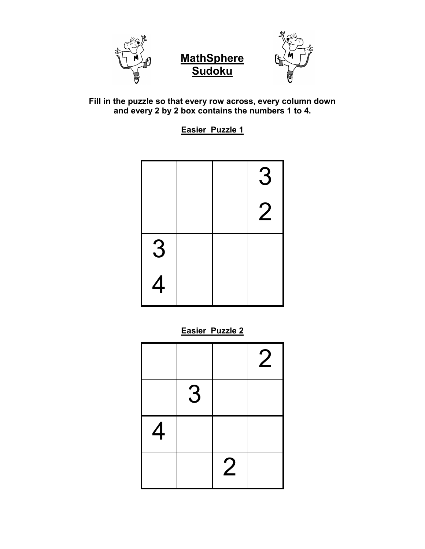





**Easier Puzzle 1**

|   |  | 3              |
|---|--|----------------|
|   |  | $\overline{2}$ |
| 3 |  |                |
| 4 |  |                |

**Easier Puzzle 2**

|   |   |                | $\overline{2}$ |
|---|---|----------------|----------------|
|   | 3 |                |                |
| 4 |   |                |                |
|   |   | $\overline{2}$ |                |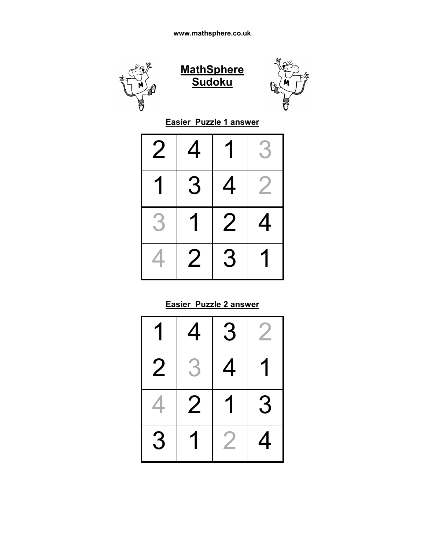





**Easier Puzzle 1 answer**

| 2 | 4 |                | 3                        |
|---|---|----------------|--------------------------|
|   | З | 4              | $\overline{\phantom{a}}$ |
| 3 |   | $\overline{2}$ | 4                        |
|   | 2 | З              |                          |

#### **Easier Puzzle 2 answer**

|   | 4 | 3 |   |
|---|---|---|---|
| 2 | 3 | 4 |   |
|   | 2 | 1 | 3 |
|   |   |   |   |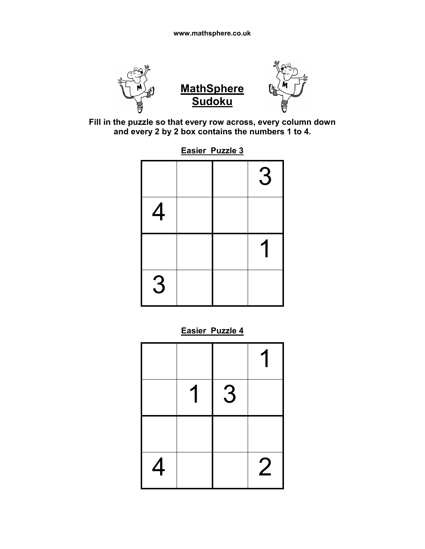



**Sudoku**

**Easier Puzzle 3** 

|   |  | 3 |
|---|--|---|
| 4 |  |   |
|   |  | 1 |
| 3 |  |   |

**Easier Puzzle 4**

|   | 1 | 3 |                |
|---|---|---|----------------|
|   |   |   |                |
| 4 |   |   | $\overline{2}$ |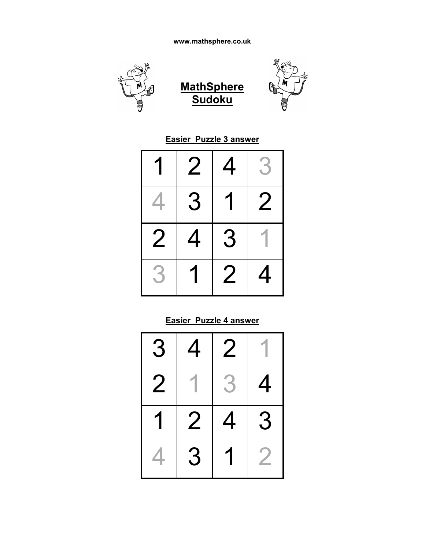

#### **Easier Puzzle 3 answer**

|   | 2 | $\overline{4}$ | $\beta$ |
|---|---|----------------|---------|
|   | 3 |                | 2       |
| 2 | 4 | 3              |         |
| 5 |   | 2              | 4       |

#### **Easier Puzzle 4 answer**

| 3 | 4 | $\overline{2}$ |   |
|---|---|----------------|---|
| 2 |   | $\mathbf{3}$   | 4 |
|   | 2 | 4              | 3 |
|   | З |                |   |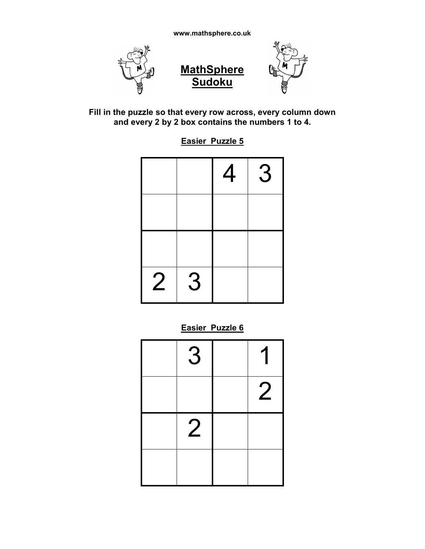



**Easier Puzzle 5**

|                |   | $\overline{4}$ | 3 |
|----------------|---|----------------|---|
|                |   |                |   |
|                |   |                |   |
| $\overline{2}$ | 3 |                |   |

#### **Easier Puzzle 6**

| 3              | 1              |
|----------------|----------------|
|                | $\overline{2}$ |
| $\overline{2}$ |                |
|                |                |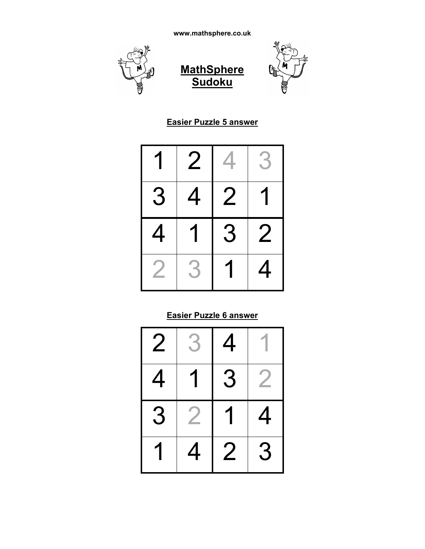





#### **Easier Puzzle 5 answer**

|   | $\overline{2}$ |   | $\beta$        |
|---|----------------|---|----------------|
| З | 4              | 2 |                |
| 4 |                | З | $\overline{2}$ |
|   |                |   | 4              |

# **Easier Puzzle 6 answer**

| 2 | $\rightarrow$ | 4 |          |
|---|---------------|---|----------|
| 4 |               | З |          |
| З |               | 1 | <u>4</u> |
|   |               | 2 | З        |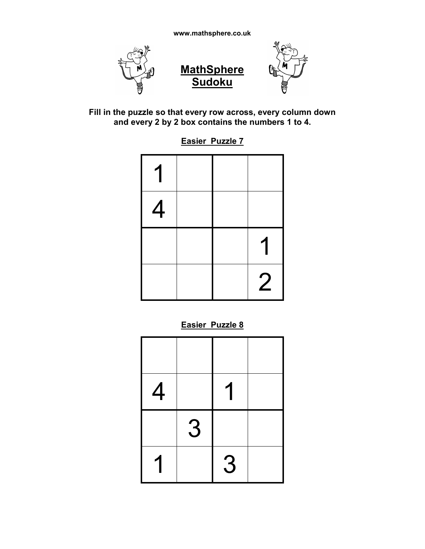

**Easier Puzzle 7**

| 1 |  |                |
|---|--|----------------|
| 4 |  |                |
|   |  | 1              |
|   |  | $\overline{2}$ |

**Easier Puzzle 8**

| $\overline{4}$ |   |   |  |
|----------------|---|---|--|
|                | 3 |   |  |
|                |   | 3 |  |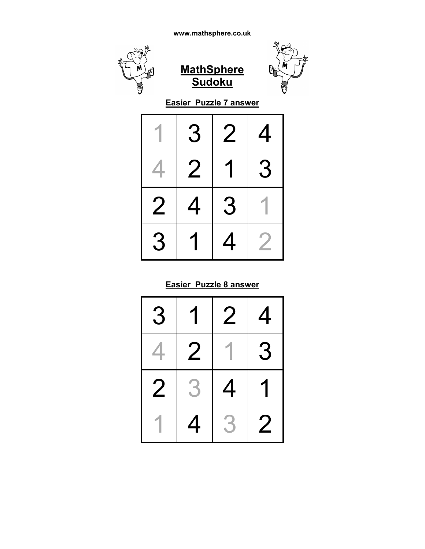

|          | З | 2        | 4 |
|----------|---|----------|---|
| <u>Д</u> | 2 |          | 3 |
| 2        | 4 | 3        |   |
| З        |   | <u>Д</u> |   |

#### **Easier Puzzle 8 answer**

| 3 |   | 2 | 4              |
|---|---|---|----------------|
|   | 2 |   | 3              |
| 2 | 3 | 4 |                |
|   | 4 | 3 | $\overline{2}$ |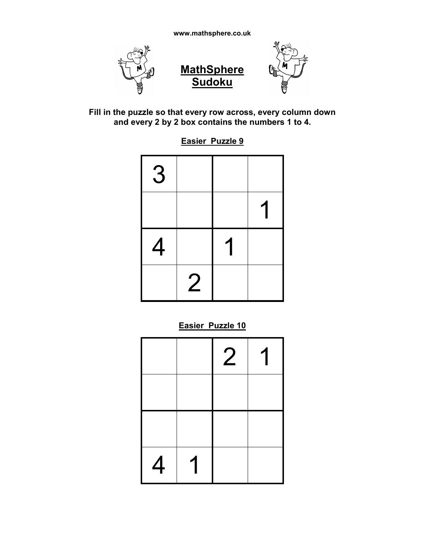



**Easier Puzzle 9**

| 3 |                |   |  |
|---|----------------|---|--|
|   |                |   |  |
| 4 |                | 1 |  |
|   | $\overline{2}$ |   |  |

**Easier Puzzle 10**

|   |   | $\overline{2}$ | 1 |
|---|---|----------------|---|
|   |   |                |   |
|   |   |                |   |
| 4 | 1 |                |   |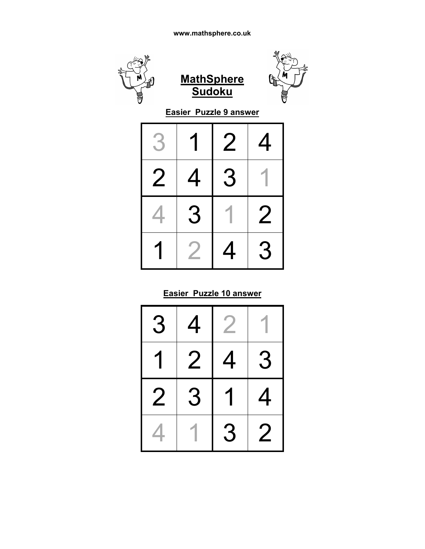

#### **Easier Puzzle 10 answer**

| 3 | 4 | <b>Septiment</b> |                  |
|---|---|------------------|------------------|
|   | 2 | 4                | 3                |
| 2 | 3 | 1                | 4                |
|   |   | 3                | $\boldsymbol{2}$ |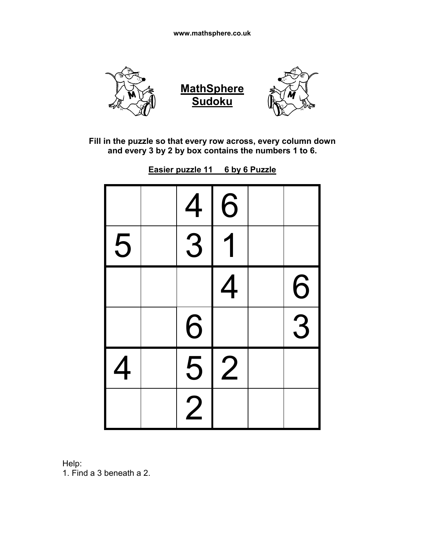

**Easier puzzle 11 6 by 6 Puzzle**

|                | 4 | 6              |   |
|----------------|---|----------------|---|
| 5              | 3 |                |   |
|                |   | 4              | 6 |
|                | 6 |                | 3 |
| $\overline{4}$ | 5 | $\overline{2}$ |   |
|                |   |                |   |

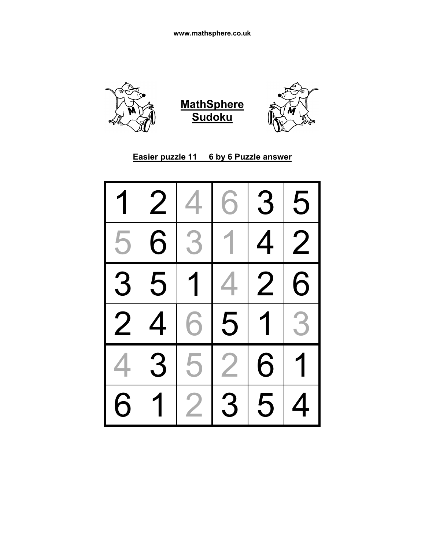

#### **Easier puzzle 11 6 by 6 Puzzle answer**

| 1              | $\overline{2}$ | 4              | 6              | 3              | 5              |
|----------------|----------------|----------------|----------------|----------------|----------------|
| 5              | $\overline{6}$ | 3 <sup>1</sup> | 1              | $\overline{4}$ | $\overline{2}$ |
| $\overline{3}$ | 5              | 1 <sup>1</sup> | $\overline{4}$ | $\overline{2}$ | 6              |
| $\overline{2}$ | $\overline{1}$ | 61             | 5              | $\overline{1}$ | 3              |
| 4              | $\overline{3}$ | 5              | $\overline{2}$ | 6              | $\overline{1}$ |
| 6              |                | $\overline{2}$ | 3              | 5              | 4              |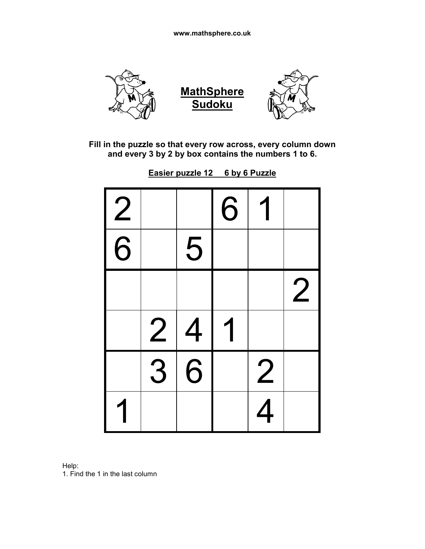

| 2 |                |                | 6 |                |                |
|---|----------------|----------------|---|----------------|----------------|
| 6 |                | 5              |   |                |                |
|   |                |                |   |                | $\overline{2}$ |
|   | $\overline{2}$ | $\overline{4}$ | 1 |                |                |
|   | $\overline{3}$ | 6              |   | $\overline{2}$ |                |
|   |                |                |   | $\overline{4}$ |                |

**Easier puzzle 12 6 by 6 Puzzle**

Help: 1. Find the 1 in the last column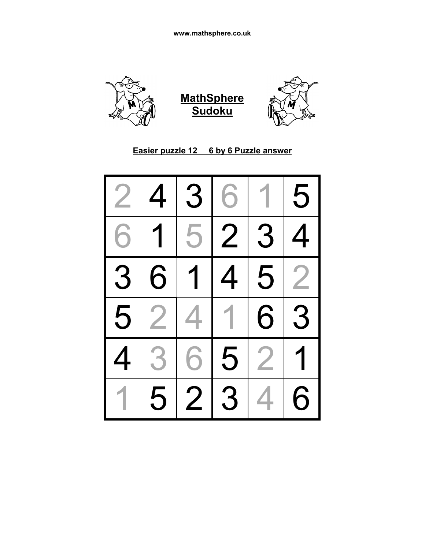



| $\overline{2}$           | $\overline{4}$ |                       | 3 6     | 1 <sup>1</sup> | 5              |
|--------------------------|----------------|-----------------------|---------|----------------|----------------|
| 6 <sup>1</sup>           | $\overline{1}$ |                       |         | 5 2 3 4        |                |
| $\overline{3}$           |                |                       |         | 6 1 4 5 2      |                |
|                          |                | $\overline{5}$  2 4 1 |         | 6 3            |                |
| $\overline{\mathcal{A}}$ | 3 <sup>1</sup> |                       | $6 5 2$ |                | $\overline{1}$ |
| 1 <sup>1</sup>           |                | 5 2 3                 |         | 4 <sub>1</sub> | 6              |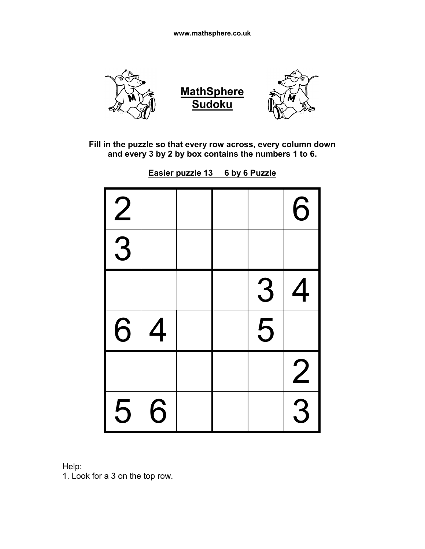

**Easier puzzle 13 6 by 6 Puzzle**

| $\overline{2}$ |   |  |                | 6              |
|----------------|---|--|----------------|----------------|
| $\overline{3}$ |   |  |                |                |
|                |   |  | 3              | $\overline{4}$ |
| 6              | 4 |  | $\overline{5}$ |                |
|                |   |  |                | $\overline{2}$ |
| 5              | 6 |  |                | $\overline{3}$ |

Help:

1. Look for a 3 on the top row.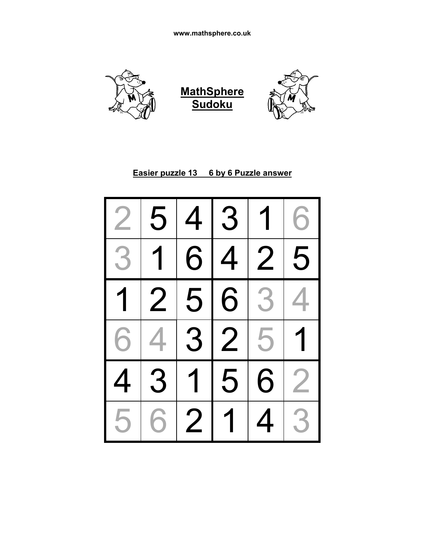





#### **Easier puzzle 13 6 by 6 Puzzle answer**

| $\overline{2}$ | 5                 |   | 4 3               | 1              | 6              |
|----------------|-------------------|---|-------------------|----------------|----------------|
| $\overline{3}$ | $\overline{1}$    |   | $\overline{6}$  4 | $\overline{2}$ | 5              |
|                | 1 2               |   |                   | 5 6 3          | 4              |
|                | $\boxed{6 4 3 2}$ |   |                   | 5              | $\overline{1}$ |
| $\overline{4}$ | $\overline{3}$    |   | $1\vert 5$        | $\overline{6}$ | $\overline{2}$ |
| 5              | 6                 | 2 | $\overline{1}$    | 4              | 3              |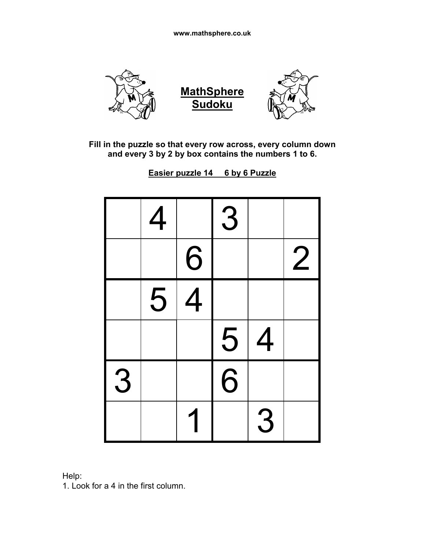

**Easier puzzle 14 6 by 6 Puzzle**

|   | 4 |                | 3 |                |                |
|---|---|----------------|---|----------------|----------------|
|   |   | 6              |   |                | $\overline{2}$ |
|   | 5 | $\overline{4}$ |   |                |                |
|   |   |                | 5 | $\overline{4}$ |                |
| 3 |   |                | 6 |                |                |
|   |   |                |   | 3              |                |



1. Look for a 4 in the first column.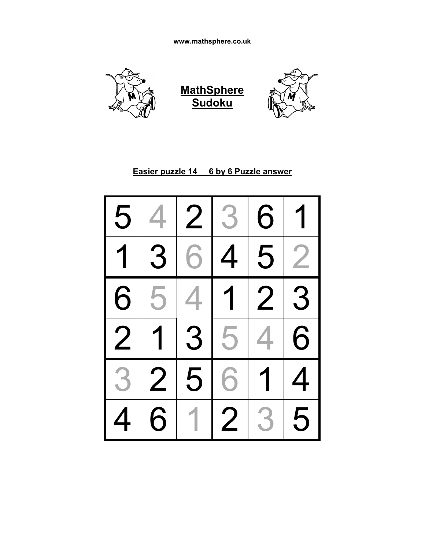





#### **Easier puzzle 14 6 by 6 Puzzle answer**

| 5                       | 4              |                | 2 3            | 6              | 1              |
|-------------------------|----------------|----------------|----------------|----------------|----------------|
| $\overline{1}$          | $\overline{3}$ | $\overline{6}$ | $\overline{4}$ | 5              | $\overline{2}$ |
| $\overline{6}$          | 5              | 4              | $\overline{1}$ | $\frac{1}{2}$  | 3              |
| $\overline{\mathbf{2}}$ | $\overline{1}$ | $\overline{3}$ | $\overline{5}$ | $\overline{4}$ | 6              |
| 3                       | $\overline{2}$ | 5              | $\overline{6}$ | 1              | 4              |
| $\overline{4}$          | 6              |                | $\overline{2}$ | 3              | 5              |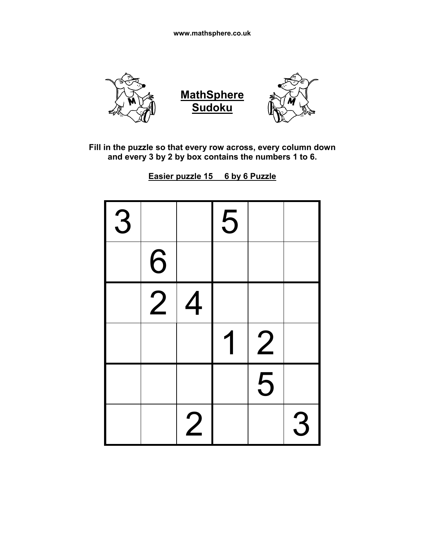

**Easier puzzle 15 6 by 6 Puzzle**

| 3 |                |                | 5 |                |   |
|---|----------------|----------------|---|----------------|---|
|   | 6              |                |   |                |   |
|   | $\overline{2}$ | 4              |   |                |   |
|   |                |                |   | $\overline{2}$ |   |
|   |                |                |   | 5              |   |
|   |                | $\overline{c}$ |   |                | 3 |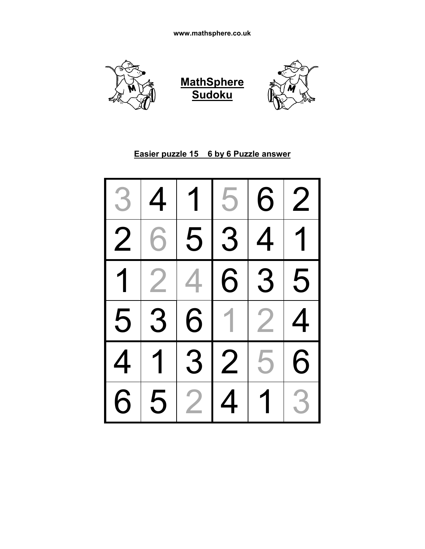

#### **Easier puzzle 15 6 by 6 Puzzle answer**

| 3              | 4              | $\overline{\mathbf{1}}$ | 5                     | 6              | $\overline{2}$ |
|----------------|----------------|-------------------------|-----------------------|----------------|----------------|
| $\overline{2}$ | 6              | 5                       | $\overline{3}$        | $\overline{4}$ | 1              |
| $\overline{1}$ | $\overline{2}$ | 4                       | 6                     | 3              | 5              |
| $\overline{5}$ | $\overline{3}$ | 6                       | $\mathbf 1$           | $\overline{2}$ | 4              |
| $\overline{4}$ | $\overline{1}$ |                         | $\overline{3}\vert 2$ | 5              | 6              |
|                |                |                         |                       |                |                |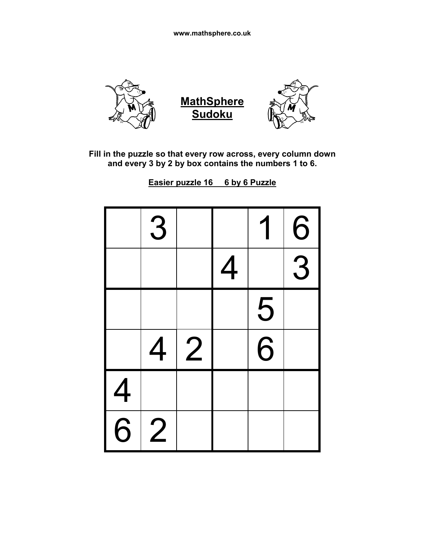

**Easier puzzle 16 6 by 6 Puzzle**

|                | 3              |   |   |   | 6              |
|----------------|----------------|---|---|---|----------------|
|                |                |   | 4 |   | $\overline{3}$ |
|                |                |   |   | 5 |                |
|                | 4              | 2 |   | 6 |                |
| $\overline{4}$ |                |   |   |   |                |
| $\overline{6}$ | $\overline{2}$ |   |   |   |                |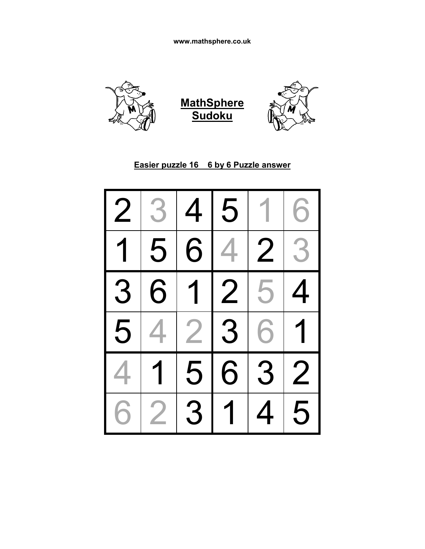





#### **Easier puzzle 16 6 by 6 Puzzle answer**

| $\overline{2}$ | 3                       | 4 | 5              | $\mathbf{1}$ | 6                         |
|----------------|-------------------------|---|----------------|--------------|---------------------------|
|                | 5                       |   | 614            | 2            | 3                         |
| 3              | 6                       |   |                | 1 2 5        | 4                         |
| 5              |                         |   | 2 3            | 6            | $\overline{\mathbf{1}}$   |
|                | $\overline{\mathbf{1}}$ |   | 5 6 3          |              | $\overline{\phantom{1}2}$ |
| 6              | $\overline{2}$          | 3 | $\overline{1}$ | 4            | 5                         |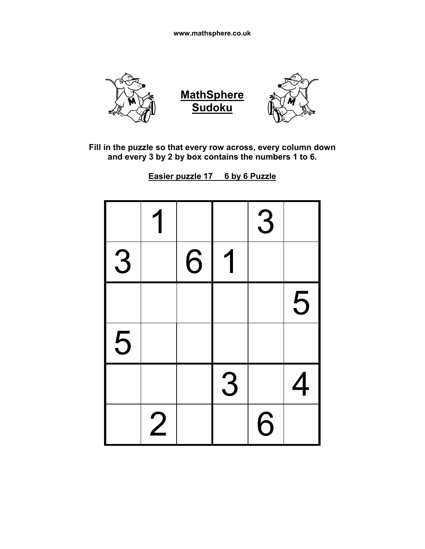

**Easier puzzle 17 6 by 6 Puzzle**

|   |                |   |   | 3 |   |
|---|----------------|---|---|---|---|
| 3 |                | 6 |   |   |   |
|   |                |   |   |   | 5 |
| 5 |                |   |   |   |   |
|   |                |   | 3 |   | 4 |
|   | $\overline{2}$ |   |   | 6 |   |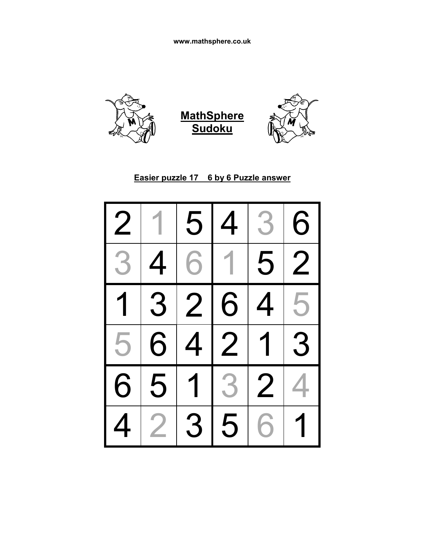

# **Easier puzzle 17 6 by 6 Puzzle answer**

| $\overline{2}$          | $\overline{1}$ | 5              | $\overline{4}$ | 3 <sup>1</sup> | 6                       |
|-------------------------|----------------|----------------|----------------|----------------|-------------------------|
| 3                       | $\overline{4}$ |                | 611            | 5              | $\overline{\mathbf{2}}$ |
| $\overline{\mathbf{1}}$ |                | 3 2 6          |                | $\overline{4}$ | 5                       |
| 5                       | 6              |                |                | 4 2 1          | 3                       |
| $\overline{6}$          | $\overline{5}$ |                | $1 3 2$        |                |                         |
|                         | $\overline{2}$ | $\overline{3}$ | 5              | 6              | 1                       |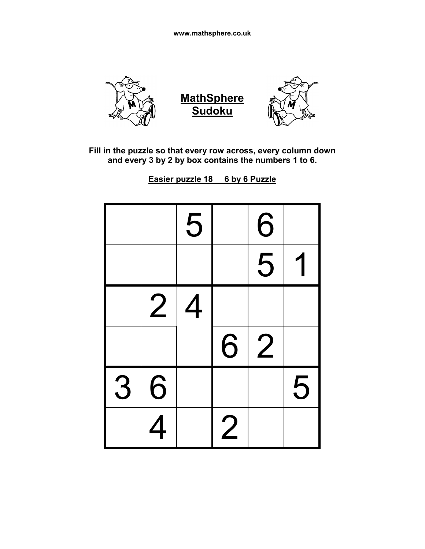

**Easier puzzle 18 6 by 6 Puzzle**

|   |                          | 5 |                | 6              |   |
|---|--------------------------|---|----------------|----------------|---|
|   |                          |   |                | 5              |   |
|   | $\overline{2}$           | 4 |                |                |   |
|   |                          |   | 6              | $\overline{2}$ |   |
| 3 | 6                        |   |                |                | 5 |
|   | $\overline{\mathcal{A}}$ |   | $\overline{c}$ |                |   |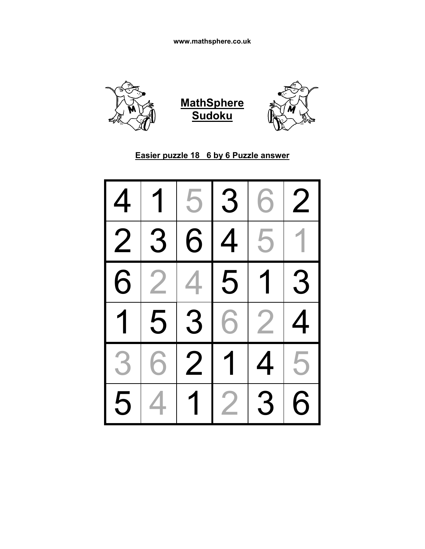





# **Easier puzzle 18 6 by 6 Puzzle answer**

| 4              | 1              | 5              | 3 | 6              | $\overline{2}$ |
|----------------|----------------|----------------|---|----------------|----------------|
| $\overline{2}$ | 3              | 6              | 4 | 5              |                |
| 6              | $\overline{2}$ | 4              | 5 | $\overline{1}$ | 3              |
| $\overline{1}$ | 5              | $\overline{3}$ | 6 | $\overline{2}$ | 4              |
| 3              | 6              | $\overline{2}$ | 1 | 4              | 5              |
|                |                |                |   |                |                |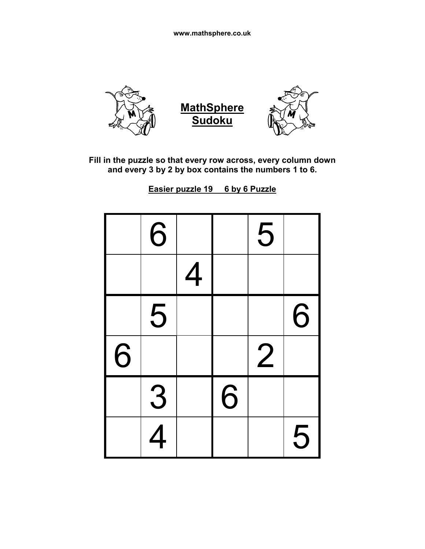

**Easier puzzle 19 6 by 6 Puzzle**

|   | 6                        |   |   | 5              |   |
|---|--------------------------|---|---|----------------|---|
|   |                          | 4 |   |                |   |
|   | 5                        |   |   |                | 6 |
| 6 |                          |   |   | $\overline{2}$ |   |
|   | 3                        |   | 6 |                |   |
|   | $\overline{\mathcal{A}}$ |   |   |                | 5 |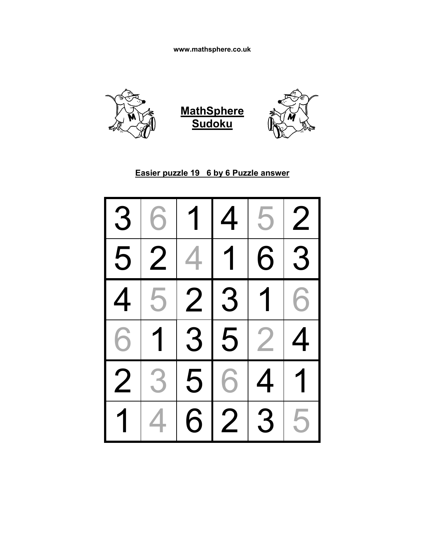

#### **Easier puzzle 19 6 by 6 Puzzle answer**

| 3              | 6              | $\overline{1}$ | 4                        | 5              | $\overline{2}$ |
|----------------|----------------|----------------|--------------------------|----------------|----------------|
| 5              | $\overline{2}$ | 4              | $\overline{\mathcal{L}}$ | 6              | 3              |
| $\overline{4}$ | $\overline{5}$ | 2 3            |                          | $\overline{1}$ | 6              |
| $\overline{6}$ | $\sqrt{1}$     |                | $\overline{3 5}$         | $\overline{2}$ | 4              |
| $\overline{2}$ | 3              |                | 5 6                      | $\overline{4}$ | 1              |
| $\overline{1}$ | 4              | 6              | $\overline{2}$           | 3              | 5              |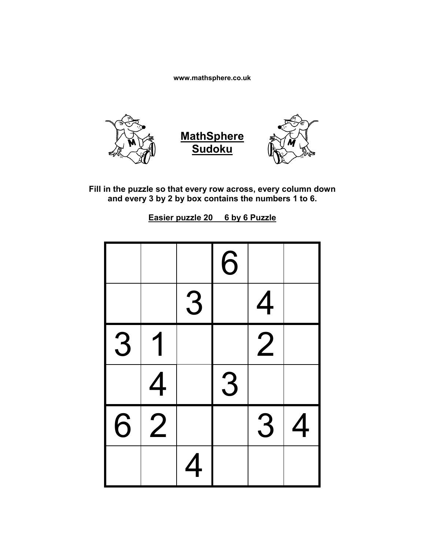

**Fill in the puzzle so that every row across, every column down and every 3 by 2 by box contains the numbers 1 to 6.**

**Easier puzzle 20 6 by 6 Puzzle**

|   |                |   | 6 |                |   |
|---|----------------|---|---|----------------|---|
|   |                | 3 |   | 4              |   |
| 3 |                |   |   | $\overline{2}$ |   |
|   | 4              |   | 3 |                |   |
| 6 | $\overline{2}$ |   |   | 3              | 4 |
|   |                | 4 |   |                |   |